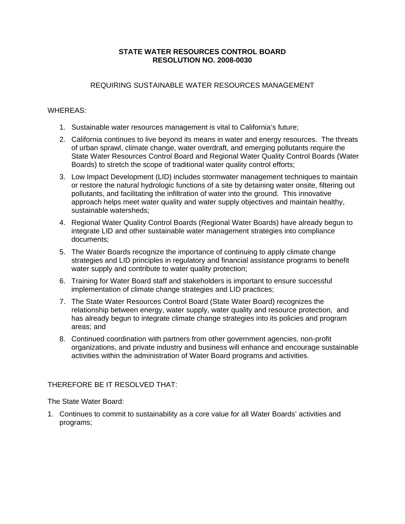#### **STATE WATER RESOURCES CONTROL BOARD RESOLUTION NO. 2008-0030**

### REQUIRING SUSTAINABLE WATER RESOURCES MANAGEMENT

## WHEREAS:

- 1. Sustainable water resources management is vital to California's future;
- 2. California continues to live beyond its means in water and energy resources. The threats of urban sprawl, climate change, water overdraft, and emerging pollutants require the State Water Resources Control Board and Regional Water Quality Control Boards (Water Boards) to stretch the scope of traditional water quality control efforts;
- 3. Low Impact Development (LID) includes stormwater management techniques to maintain or restore the natural hydrologic functions of a site by detaining water onsite, filtering out pollutants, and facilitating the infiltration of water into the ground. This innovative approach helps meet water quality and water supply objectives and maintain healthy, sustainable watersheds;
- 4. Regional Water Quality Control Boards (Regional Water Boards) have already begun to integrate LID and other sustainable water management strategies into compliance documents;
- 5. The Water Boards recognize the importance of continuing to apply climate change strategies and LID principles in regulatory and financial assistance programs to benefit water supply and contribute to water quality protection;
- 6. Training for Water Board staff and stakeholders is important to ensure successful implementation of climate change strategies and LID practices;
- 7. The State Water Resources Control Board (State Water Board) recognizes the relationship between energy, water supply, water quality and resource protection, and has already begun to integrate climate change strategies into its policies and program areas; and
- 8. Continued coordination with partners from other government agencies, non-profit organizations, and private industry and business will enhance and encourage sustainable activities within the administration of Water Board programs and activities.

# THEREFORE BE IT RESOLVED THAT:

The State Water Board:

1. Continues to commit to sustainability as a core value for all Water Boards' activities and programs;